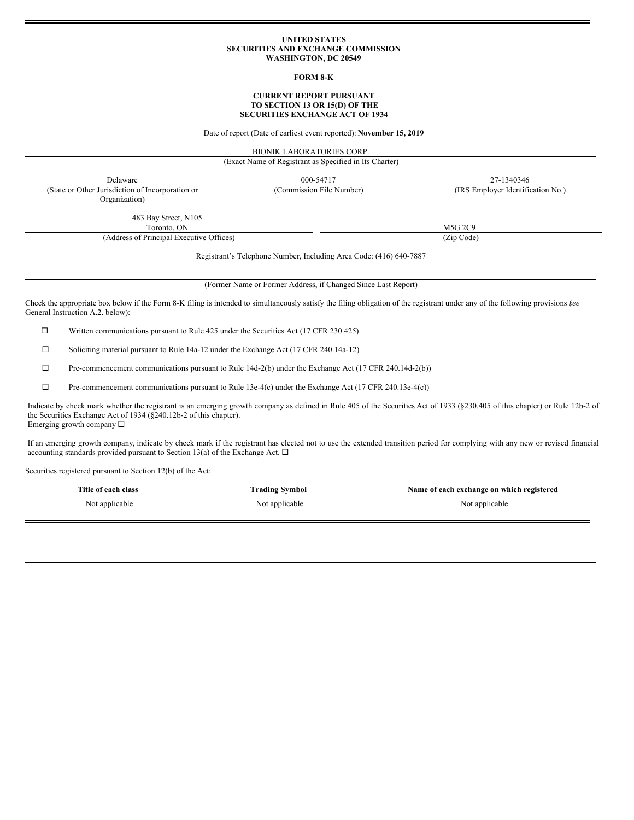#### **UNITED STATES SECURITIES AND EXCHANGE COMMISSION WASHINGTON, DC 20549**

#### **FORM 8-K**

#### **CURRENT REPORT PURSUANT TO SECTION 13 OR 15(D) OF THE SECURITIES EXCHANGE ACT OF 1934**

Date of report (Date of earliest event reported): **November 15, 2019**

BIONIK LABORATORIES CORP.

| (Exact Name of Registrant as Specified in Its Charter)             |                                                               |            |  |  |  |
|--------------------------------------------------------------------|---------------------------------------------------------------|------------|--|--|--|
| Delaware                                                           | 000-54717                                                     | 27-1340346 |  |  |  |
| (State or Other Jurisdiction of Incorporation or<br>Organization)  | (Commission File Number)<br>(IRS Employer Identification No.) |            |  |  |  |
| 483 Bay Street, N105                                               |                                                               |            |  |  |  |
| Toronto, ON                                                        |                                                               | M5G 2C9    |  |  |  |
| (Address of Principal Executive Offices)                           |                                                               | (Zip Code) |  |  |  |
| Registrant's Telephone Number, Including Area Code: (416) 640-7887 |                                                               |            |  |  |  |
|                                                                    | (Former Name or Former Address, if Changed Since Last Report) |            |  |  |  |

Check the appropriate box below if the Form 8-K filing is intended to simultaneously satisfy the filing obligation of the registrant under any of the following provisions (*see* General Instruction A.2. below):

 $\square$  Written communications pursuant to Rule 425 under the Securities Act (17 CFR 230.425)

 $\Box$  Soliciting material pursuant to Rule 14a-12 under the Exchange Act (17 CFR 240.14a-12)

 $\Box$  Pre-commencement communications pursuant to Rule 14d-2(b) under the Exchange Act (17 CFR 240.14d-2(b))

 $\Box$  Pre-commencement communications pursuant to Rule 13e-4(c) under the Exchange Act (17 CFR 240.13e-4(c))

Indicate by check mark whether the registrant is an emerging growth company as defined in Rule 405 of the Securities Act of 1933 (§230.405 of this chapter) or Rule 12b-2 of the Securities Exchange Act of 1934 (§240.12b-2 of this chapter). Emerging growth company  $\square$ 

If an emerging growth company, indicate by check mark if the registrant has elected not to use the extended transition period for complying with any new or revised financial accounting standards provided pursuant to Section 13(a) of the Exchange Act.  $\Box$ 

Securities registered pursuant to Section 12(b) of the Act:

| Title of each class | <b>Trading Symbol</b> | Name of each exchange on which registered |
|---------------------|-----------------------|-------------------------------------------|
| Not applicable      | Not applicable        | Not applicable                            |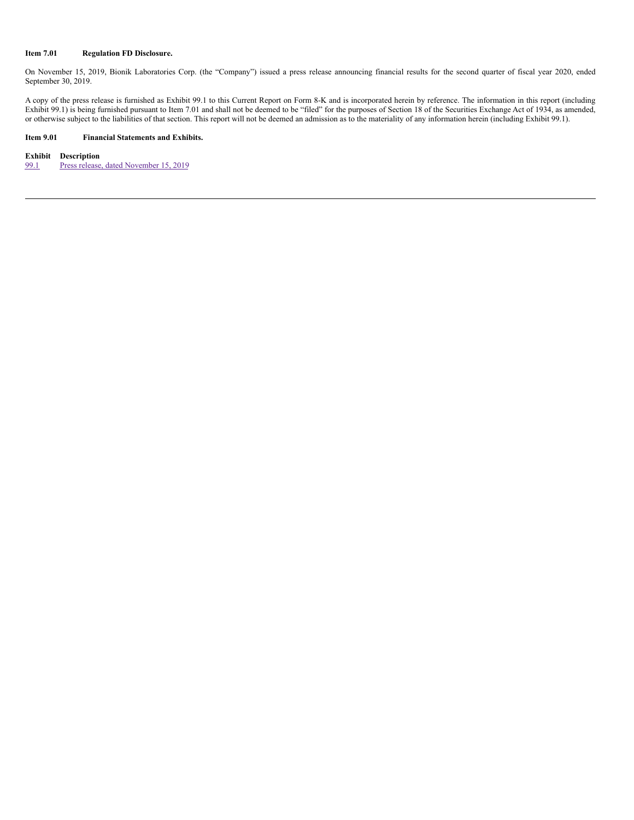#### **Item 7.01 Regulation FD Disclosure.**

On November 15, 2019, Bionik Laboratories Corp. (the "Company") issued a press release announcing financial results for the second quarter of fiscal year 2020, ended September 30, 2019.

A copy of the press release is furnished as Exhibit 99.1 to this Current Report on Form 8-K and is incorporated herein by reference. The information in this report (including Exhibit 99.1) is being furnished pursuant to Item 7.01 and shall not be deemed to be "filed" for the purposes of Section 18 of the Securities Exchange Act of 1934, as amended, or otherwise subject to the liabilities of that section. This report will not be deemed an admission as to the materiality of any information herein (including Exhibit 99.1).

### **Item 9.01 Financial Statements and Exhibits.**

**Exhibit Description**<br>99.1 **Press release** Press release, dated [November](#page-5-0) 15, 2019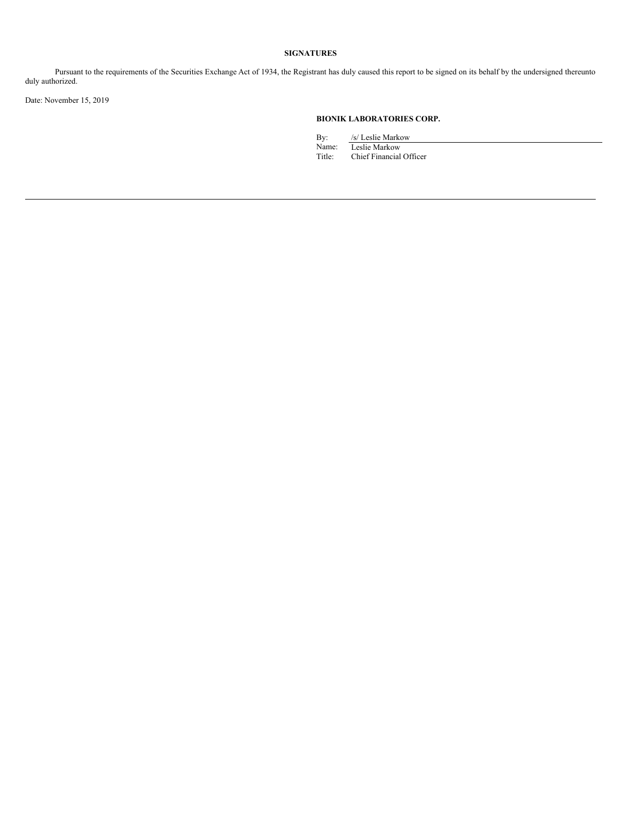### **SIGNATURES**

Pursuant to the requirements of the Securities Exchange Act of 1934, the Registrant has duly caused this report to be signed on its behalf by the undersigned thereunto duly authorized.

Date: November 15, 2019

### **BIONIK LABORATORIES CORP.**

By: /s/ Leslie Markow Name: Leslie Markow

Title: Chief Financial Officer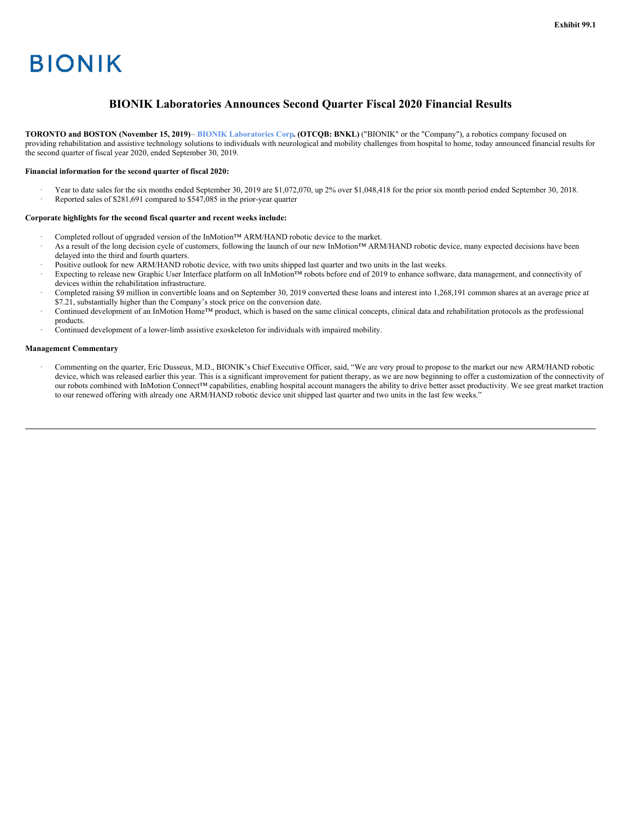### **BIONIK Laboratories Announces Second Quarter Fiscal 2020 Financial Results**

**TORONTO and BOSTON (November 15, 2019)**– **BIONIK Laboratories Corp. (OTCQB: BNKL)** ("BIONIK" or the "Company"), a robotics company focused on providing rehabilitation and assistive technology solutions to individuals with neurological and mobility challenges from hospital to home, today announced financial results for the second quarter of fiscal year 2020, ended September 30, 2019.

#### **Financial information for the second quarter of fiscal 2020:**

· Year to date sales for the six months ended September 30, 2019 are \$1,072,070, up 2% over \$1,048,418 for the prior six month period ended September 30, 2018. Reported sales of \$281,691 compared to \$547,085 in the prior-year quarter

#### **Corporate highlights for the second fiscal quarter and recent weeks include:**

- · Completed rollout of upgraded version of the InMotion™ ARM/HAND robotic device to the market.
- As a result of the long decision cycle of customers, following the launch of our new InMotion™ ARM/HAND robotic device, many expected decisions have been delayed into the third and fourth quarters.
- Positive outlook for new ARM/HAND robotic device, with two units shipped last quarter and two units in the last weeks.
- Expecting to release new Graphic User Interface platform on all InMotion™ robots before end of 2019 to enhance software, data management, and connectivity of devices within the rehabilitation infrastructure.
- · Completed raising \$9 million in convertible loans and on September 30, 2019 converted these loans and interest into 1,268,191 common shares at an average price at \$7.21, substantially higher than the Company's stock price on the conversion date.
- · Continued development of an InMotion Home™ product, which is based on the same clinical concepts, clinical data and rehabilitation protocols as the professional products.
- · Continued development of a lower-limb assistive exoskeleton for individuals with impaired mobility.

#### **Management Commentary**

· Commenting on the quarter, Eric Dusseux, M.D., BIONIK's Chief Executive Officer, said, "We are very proud to propose to the market our new ARM/HAND robotic device, which was released earlier this year. This is a significant improvement for patient therapy, as we are now beginning to offer a customization of the connectivity of our robots combined with InMotion Connect™ capabilities, enabling hospital account managers the ability to drive better asset productivity. We see great market traction to our renewed offering with already one ARM/HAND robotic device unit shipped last quarter and two units in the last few weeks."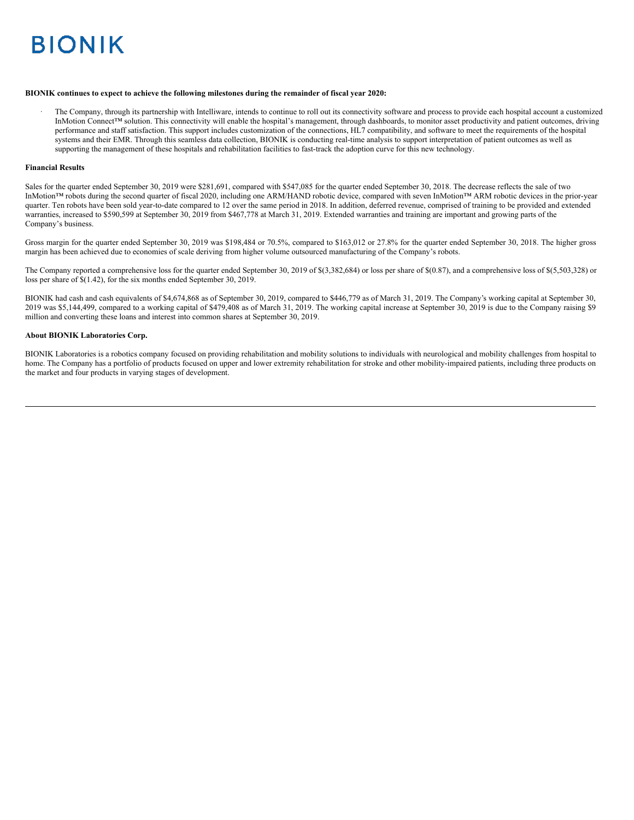#### **BIONIK continues to expect to achieve the following milestones during the remainder of fiscal year 2020:**

The Company, through its partnership with Intelliware, intends to continue to roll out its connectivity software and process to provide each hospital account a customized InMotion Connect™ solution. This connectivity will enable the hospital's management, through dashboards, to monitor asset productivity and patient outcomes, driving performance and staff satisfaction. This support includes customization of the connections, HL7 compatibility, and software to meet the requirements of the hospital systems and their EMR. Through this seamless data collection, BIONIK is conducting real-time analysis to support interpretation of patient outcomes as well as supporting the management of these hospitals and rehabilitation facilities to fast-track the adoption curve for this new technology.

#### **Financial Results**

Sales for the quarter ended September 30, 2019 were \$281,691, compared with \$547,085 for the quarter ended September 30, 2018. The decrease reflects the sale of two InMotion™ robots during the second quarter of fiscal 2020, including one ARM/HAND robotic device, compared with seven InMotion™ ARM robotic devices in the prior-year quarter. Ten robots have been sold year-to-date compared to 12 over the same period in 2018. In addition, deferred revenue, comprised of training to be provided and extended warranties, increased to \$590,599 at September 30, 2019 from \$467,778 at March 31, 2019. Extended warranties and training are important and growing parts of the Company's business.

Gross margin for the quarter ended September 30, 2019 was \$198,484 or 70.5%, compared to \$163,012 or 27.8% for the quarter ended September 30, 2018. The higher gross margin has been achieved due to economies of scale deriving from higher volume outsourced manufacturing of the Company's robots.

The Company reported a comprehensive loss for the quarter ended September 30, 2019 of \$(3,382,684) or loss per share of \$(0.87), and a comprehensive loss of \$(5,503,328) or loss per share of \$(1.42), for the six months ended September 30, 2019.

BIONIK had cash and cash equivalents of \$4,674,868 as of September 30, 2019, compared to \$446,779 as of March 31, 2019. The Company's working capital at September 30, 2019 was \$5,144,499, compared to a working capital of \$479,408 as of March 31, 2019. The working capital increase at September 30, 2019 is due to the Company raising \$9 million and converting these loans and interest into common shares at September 30, 2019.

#### **About BIONIK Laboratories Corp.**

BIONIK Laboratories is a robotics company focused on providing rehabilitation and mobility solutions to individuals with neurological and mobility challenges from hospital to home. The Company has a portfolio of products focused on upper and lower extremity rehabilitation for stroke and other mobility-impaired patients, including three products on the market and four products in varying stages of development.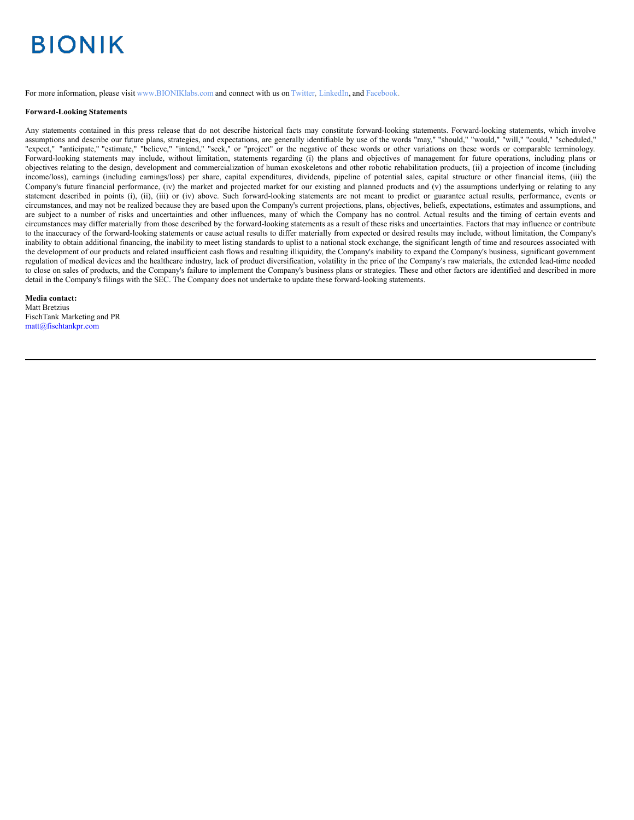<span id="page-5-0"></span>For more information, please visit www.BIONIKlabs.com and connect with us on Twitter, LinkedIn, and Facebook.

#### **Forward-Looking Statements**

Any statements contained in this press release that do not describe historical facts may constitute forward-looking statements. Forward-looking statements, which involve assumptions and describe our future plans, strategies, and expectations, are generally identifiable by use of the words "may," "should," "would," "will," "could," "scheduled," "expect," "anticipate," "estimate," "believe," "intend," "seek," or "project" or the negative of these words or other variations on these words or comparable terminology. Forward-looking statements may include, without limitation, statements regarding (i) the plans and objectives of management for future operations, including plans or objectives relating to the design, development and commercialization of human exoskeletons and other robotic rehabilitation products, (ii) a projection of income (including income/loss), earnings (including earnings/loss) per share, capital expenditures, dividends, pipeline of potential sales, capital structure or other financial items, (iii) the Company's future financial performance, (iv) the market and projected market for our existing and planned products and (v) the assumptions underlying or relating to any statement described in points (i), (ii), (iii) or (iv) above. Such forward-looking statements are not meant to predict or guarantee actual results, performance, events or circumstances, and may not be realized because they are based upon the Company's current projections, plans, objectives, beliefs, expectations, estimates and assumptions, and are subject to a number of risks and uncertainties and other influences, many of which the Company has no control. Actual results and the timing of certain events and circumstances may differ materially from those described by the forward-looking statements as a result of these risks and uncertainties. Factors that may influence or contribute to the inaccuracy of the forward-looking statements or cause actual results to differ materially from expected or desired results may include, without limitation, the Company's inability to obtain additional financing, the inability to meet listing standards to uplist to a national stock exchange, the significant length of time and resources associated with the development of our products and related insufficient cash flows and resulting illiquidity, the Company's inability to expand the Company's business, significant government regulation of medical devices and the healthcare industry, lack of product diversification, volatility in the price of the Company's raw materials, the extended lead-time needed to close on sales of products, and the Company's failure to implement the Company's business plans or strategies. These and other factors are identified and described in more detail in the Company's filings with the SEC. The Company does not undertake to update these forward-looking statements.

**Media contact:** Matt Bretzius FischTank Marketing and PR matt@fischtankpr.com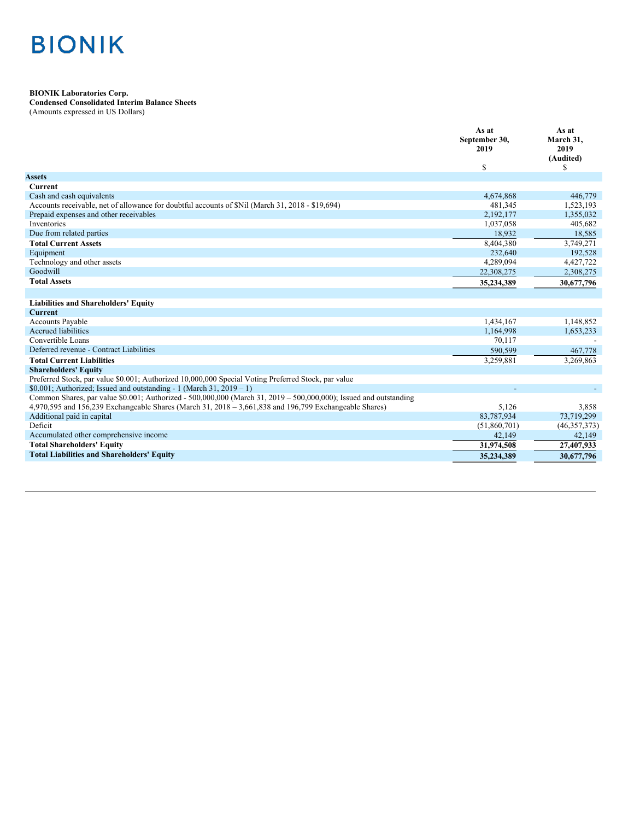#### **BIONIK Laboratories Corp.**

**Condensed Consolidated Interim Balance Sheets** (Amounts expressed in US Dollars)

|                                                                                                                          | As at<br>September 30,<br>2019<br>\$ | As at<br>March 31,<br>2019<br>(Audited)<br>\$ |
|--------------------------------------------------------------------------------------------------------------------------|--------------------------------------|-----------------------------------------------|
| <b>Assets</b>                                                                                                            |                                      |                                               |
| <b>Current</b>                                                                                                           |                                      |                                               |
| Cash and cash equivalents                                                                                                | 4,674,868                            | 446,779                                       |
| Accounts receivable, net of allowance for doubtful accounts of \$Nil (March 31, 2018 - \$19,694)                         | 481,345                              | 1,523,193                                     |
| Prepaid expenses and other receivables                                                                                   | 2,192,177                            | 1,355,032                                     |
| Inventories                                                                                                              | 1,037,058                            | 405,682                                       |
| Due from related parties                                                                                                 | 18,932                               | 18,585                                        |
| <b>Total Current Assets</b>                                                                                              | 8,404,380                            | 3,749,271                                     |
| Equipment                                                                                                                | 232,640                              | 192,528                                       |
| Technology and other assets                                                                                              | 4,289,094                            | 4,427,722                                     |
| Goodwill                                                                                                                 | 22,308,275                           | 2,308,275                                     |
| <b>Total Assets</b>                                                                                                      | 35,234,389                           | 30,677,796                                    |
|                                                                                                                          |                                      |                                               |
| <b>Liabilities and Shareholders' Equity</b>                                                                              |                                      |                                               |
| <b>Current</b>                                                                                                           |                                      |                                               |
| <b>Accounts Payable</b>                                                                                                  | 1,434,167                            | 1,148,852                                     |
| <b>Accrued liabilities</b>                                                                                               | 1,164,998                            | 1,653,233                                     |
| Convertible Loans                                                                                                        | 70,117                               |                                               |
| Deferred revenue - Contract Liabilities                                                                                  | 590,599                              | 467,778                                       |
| <b>Total Current Liabilities</b>                                                                                         | 3,259,881                            | 3,269,863                                     |
| <b>Shareholders' Equity</b>                                                                                              |                                      |                                               |
| Preferred Stock, par value \$0.001; Authorized 10,000,000 Special Voting Preferred Stock, par value                      |                                      |                                               |
| \$0.001; Authorized; Issued and outstanding - 1 (March 31, $2019 - 1$ )                                                  |                                      |                                               |
| Common Shares, par value $$0.001$ ; Authorized - $500,000,000$ (March 31, 2019 - $500,000,000$ ); Issued and outstanding |                                      |                                               |
| 4,970,595 and 156,239 Exchangeable Shares (March 31, 2018 – 3,661,838 and 196,799 Exchangeable Shares)                   | 5,126                                | 3,858                                         |
| Additional paid in capital                                                                                               | 83,787,934                           | 73,719,299                                    |
| Deficit                                                                                                                  | (51,860,701)                         | (46, 357, 373)                                |
| Accumulated other comprehensive income                                                                                   | 42,149                               | 42,149                                        |
| <b>Total Shareholders' Equity</b>                                                                                        | 31,974,508                           | 27,407,933                                    |
| <b>Total Liabilities and Shareholders' Equity</b>                                                                        | 35,234,389                           | 30,677,796                                    |
|                                                                                                                          |                                      |                                               |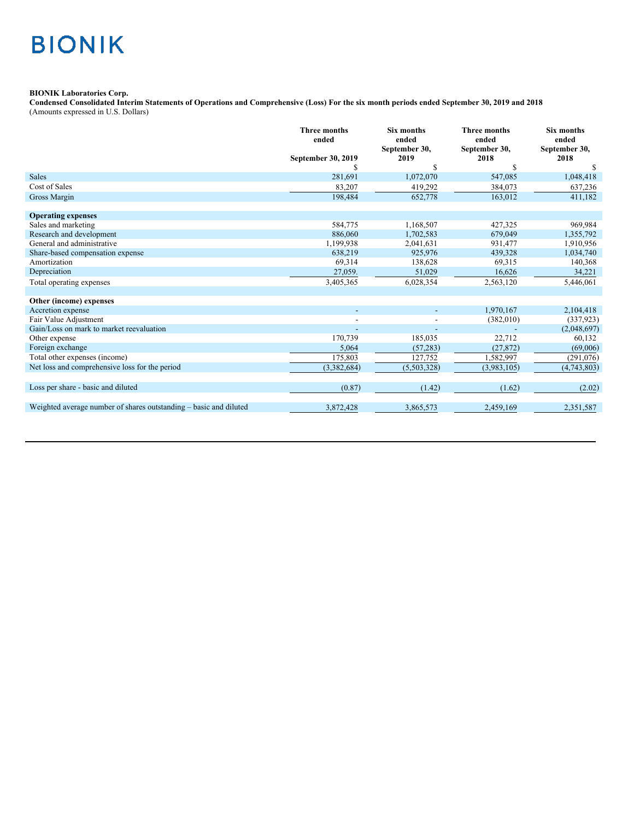#### **BIONIK Laboratories Corp.**

Condensed Consolidated Interim Statements of Operations and Comprehensive (Loss) For the six month periods ended September 30, 2019 and 2018 (Amounts expressed in U.S. Dollars)

|                                                                   | <b>Three months</b><br>ended | Six months<br>ended<br>September 30, | <b>Three months</b><br>ended<br>September 30, | Six months<br>ended<br>September 30, |
|-------------------------------------------------------------------|------------------------------|--------------------------------------|-----------------------------------------------|--------------------------------------|
|                                                                   | September 30, 2019           | 2019                                 | 2018                                          | 2018                                 |
|                                                                   |                              | S                                    | S                                             | S                                    |
| <b>Sales</b>                                                      | 281,691                      | 1,072,070                            | 547,085                                       | 1,048,418                            |
| Cost of Sales                                                     | 83,207                       | 419,292                              | 384,073                                       | 637,236                              |
| Gross Margin                                                      | 198,484                      | 652,778                              | 163,012                                       | 411.182                              |
| <b>Operating expenses</b>                                         |                              |                                      |                                               |                                      |
| Sales and marketing                                               | 584,775                      | 1,168,507                            | 427,325                                       | 969,984                              |
| Research and development                                          | 886,060                      | 1,702,583                            | 679,049                                       | 1,355,792                            |
| General and administrative                                        | 1,199,938                    | 2,041,631                            | 931,477                                       | 1,910,956                            |
| Share-based compensation expense                                  | 638,219                      | 925,976                              | 439,328                                       | 1,034,740                            |
| Amortization                                                      | 69,314                       | 138,628                              | 69,315                                        | 140,368                              |
| Depreciation                                                      | 27.059.                      | 51,029                               | 16,626                                        | 34,221                               |
| Total operating expenses                                          | 3,405,365                    | 6,028,354                            | 2,563,120                                     | 5,446,061                            |
| Other (income) expenses                                           |                              |                                      |                                               |                                      |
| Accretion expense                                                 |                              |                                      | 1,970,167                                     | 2,104,418                            |
| Fair Value Adjustment                                             |                              |                                      | (382,010)                                     | (337, 923)                           |
| Gain/Loss on mark to market reevaluation                          |                              |                                      |                                               | (2,048,697)                          |
| Other expense                                                     | 170,739                      | 185,035                              | 22,712                                        | 60,132                               |
| Foreign exchange                                                  | 5,064                        | (57, 283)                            | (27, 872)                                     | (69,006)                             |
| Total other expenses (income)                                     | 175,803                      | 127,752                              | 1,582,997                                     | (291, 076)                           |
| Net loss and comprehensive loss for the period                    | (3,382,684)                  | (5,503,328)                          | (3,983,105)                                   | (4,743,803)                          |
|                                                                   |                              |                                      |                                               |                                      |
| Loss per share - basic and diluted                                | (0.87)                       | (1.42)                               | (1.62)                                        | (2.02)                               |
| Weighted average number of shares outstanding – basic and diluted | 3,872,428                    | 3,865,573                            | 2,459,169                                     | 2,351,587                            |
|                                                                   |                              |                                      |                                               |                                      |